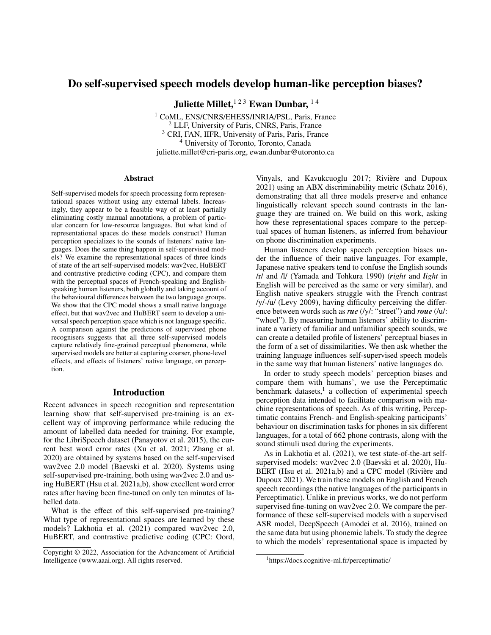# Do self-supervised speech models develop human-like perception biases?

Juliette Millet, <sup>123</sup> Ewan Dunbar, <sup>14</sup>

<sup>1</sup> CoML, ENS/CNRS/EHESS/INRIA/PSL, Paris, France <sup>2</sup> LLF, University of Paris, CNRS, Paris, France <sup>3</sup> CRI, FAN, IIFR, University of Paris, Paris, France <sup>4</sup> University of Toronto, Toronto, Canada juliette.millet@cri-paris.org, ewan.dunbar@utoronto.ca

### Abstract

Self-supervised models for speech processing form representational spaces without using any external labels. Increasingly, they appear to be a feasible way of at least partially eliminating costly manual annotations, a problem of particular concern for low-resource languages. But what kind of representational spaces do these models construct? Human perception specializes to the sounds of listeners' native languages. Does the same thing happen in self-supervised models? We examine the representational spaces of three kinds of state of the art self-supervised models: wav2vec, HuBERT and contrastive predictive coding (CPC), and compare them with the perceptual spaces of French-speaking and Englishspeaking human listeners, both globally and taking account of the behavioural differences between the two language groups. We show that the CPC model shows a small native language effect, but that wav2vec and HuBERT seem to develop a universal speech perception space which is not language specific. A comparison against the predictions of supervised phone recognisers suggests that all three self-supervised models capture relatively fine-grained perceptual phenomena, while supervised models are better at capturing coarser, phone-level effects, and effects of listeners' native language, on perception.

# Introduction

Recent advances in speech recognition and representation learning show that self-supervised pre-training is an excellent way of improving performance while reducing the amount of labelled data needed for training. For example, for the LibriSpeech dataset (Panayotov et al. 2015), the current best word error rates (Xu et al. 2021; Zhang et al. 2020) are obtained by systems based on the self-supervised wav2vec 2.0 model (Baevski et al. 2020). Systems using self-supervised pre-training, both using wav2vec 2.0 and using HuBERT (Hsu et al. 2021a,b), show excellent word error rates after having been fine-tuned on only ten minutes of labelled data.

What is the effect of this self-supervised pre-training? What type of representational spaces are learned by these models? Lakhotia et al. (2021) compared wav2vec 2.0, HuBERT, and contrastive predictive coding (CPC: Oord,

Vinyals, and Kavukcuoglu 2017; Rivière and Dupoux 2021) using an ABX discriminability metric (Schatz 2016), demonstrating that all three models preserve and enhance linguistically relevant speech sound contrasts in the language they are trained on. We build on this work, asking how these representational spaces compare to the perceptual spaces of human listeners, as inferred from behaviour on phone discrimination experiments.

Human listeners develop speech perception biases under the influence of their native languages. For example, Japanese native speakers tend to confuse the English sounds /r/ and /l/ (Yamada and Tohkura 1990) (*right* and *light* in English will be perceived as the same or very similar), and English native speakers struggle with the French contrast /y/-/u/ (Levy 2009), having difficulty perceiving the difference between words such as *rue* (/y/: "street") and *roue* (/u/: "wheel"). By measuring human listeners' ability to discriminate a variety of familiar and unfamiliar speech sounds, we can create a detailed profile of listeners' perceptual biases in the form of a set of dissimilarities. We then ask whether the training language influences self-supervised speech models in the same way that human listeners' native languages do.

In order to study speech models' perception biases and compare them with humans', we use the Perceptimatic benchmark datasets,<sup>1</sup> a collection of experimental speech perception data intended to facilitate comparison with machine representations of speech. As of this writing, Perceptimatic contains French- and English-speaking participants' behaviour on discrimination tasks for phones in six different languages, for a total of 662 phone contrasts, along with the sound stimuli used during the experiments.

As in Lakhotia et al. (2021), we test state-of-the-art selfsupervised models: wav2vec 2.0 (Baevski et al. 2020), Hu-BERT (Hsu et al. 2021a,b) and a CPC model (Rivière and Dupoux 2021). We train these models on English and French speech recordings (the native languages of the participants in Perceptimatic). Unlike in previous works, we do not perform supervised fine-tuning on wav2vec 2.0. We compare the performance of these self-supervised models with a supervised ASR model, DeepSpeech (Amodei et al. 2016), trained on the same data but using phonemic labels. To study the degree to which the models' representational space is impacted by

Copyright © 2022, Association for the Advancement of Artificial Intelligence (www.aaai.org). All rights reserved.

<sup>1</sup> https://docs.cognitive-ml.fr/perceptimatic/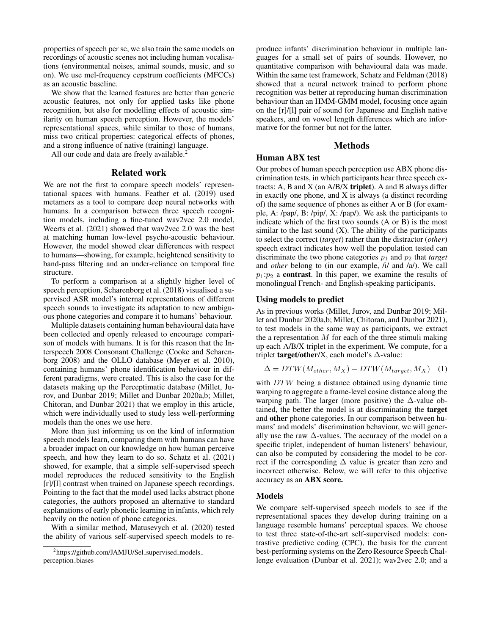properties of speech per se, we also train the same models on recordings of acoustic scenes not including human vocalisations (environmental noises, animal sounds, music, and so on). We use mel-frequency cepstrum coefficients (MFCCs) as an acoustic baseline.

We show that the learned features are better than generic acoustic features, not only for applied tasks like phone recognition, but also for modelling effects of acoustic similarity on human speech perception. However, the models' representational spaces, while similar to those of humans, miss two critical properties: categorical effects of phones, and a strong influence of native (training) language.

All our code and data are freely available.<sup>2</sup>

### Related work

We are not the first to compare speech models' representational spaces with humans. Feather et al. (2019) used metamers as a tool to compare deep neural networks with humans. In a comparison between three speech recognition models, including a fine-tuned wav2vec 2.0 model, Weerts et al. (2021) showed that wav2vec 2.0 was the best at matching human low-level psycho-acoustic behaviour. However, the model showed clear differences with respect to humans—showing, for example, heightened sensitivity to band-pass filtering and an under-reliance on temporal fine structure.

To perform a comparison at a slightly higher level of speech perception, Scharenborg et al. (2018) visualised a supervised ASR model's internal representations of different speech sounds to investigate its adaptation to new ambiguous phone categories and compare it to humans' behaviour.

Multiple datasets containing human behavioural data have been collected and openly released to encourage comparison of models with humans. It is for this reason that the Interspeech 2008 Consonant Challenge (Cooke and Scharenborg 2008) and the OLLO database (Meyer et al. 2010), containing humans' phone identification behaviour in different paradigms, were created. This is also the case for the datasets making up the Perceptimatic database (Millet, Jurov, and Dunbar 2019; Millet and Dunbar 2020a,b; Millet, Chitoran, and Dunbar 2021) that we employ in this article, which were individually used to study less well-performing models than the ones we use here.

More than just informing us on the kind of information speech models learn, comparing them with humans can have a broader impact on our knowledge on how human perceive speech, and how they learn to do so. Schatz et al. (2021) showed, for example, that a simple self-supervised speech model reproduces the reduced sensitivity to the English [r]/[l] contrast when trained on Japanese speech recordings. Pointing to the fact that the model used lacks abstract phone categories, the authors proposed an alternative to standard explanations of early phonetic learning in infants, which rely heavily on the notion of phone categories.

With a similar method, Matusevych et al. (2020) tested the ability of various self-supervised speech models to re-

produce infants' discrimination behaviour in multiple languages for a small set of pairs of sounds. However, no quantitative comparison with behavioural data was made. Within the same test framework, Schatz and Feldman (2018) showed that a neural network trained to perform phone recognition was better at reproducing human discrimination behaviour than an HMM-GMM model, focusing once again on the [r]/[l] pair of sound for Japanese and English native speakers, and on vowel length differences which are informative for the former but not for the latter.

# Methods

# Human ABX test

Our probes of human speech perception use ABX phone discrimination tests, in which participants hear three speech extracts: A, B and X (an  $A/B/X$  triplet). A and B always differ in exactly one phone, and X is always (a distinct recording of) the same sequence of phones as either A or B (for example, A: /pap/, B: /pip/, X: /pap/). We ask the participants to indicate which of the first two sounds (A or B) is the most similar to the last sound  $(X)$ . The ability of the participants to select the correct (*target*) rather than the distractor (*other*) speech extract indicates how well the population tested can discriminate the two phone categories  $p_1$  and  $p_2$  that *target* and *other* belong to (in our example, /i/ and /a/). We call  $p_1:p_2$  a **contrast**. In this paper, we examine the results of monolingual French- and English-speaking participants.

### Using models to predict

As in previous works (Millet, Jurov, and Dunbar 2019; Millet and Dunbar 2020a,b; Millet, Chitoran, and Dunbar 2021), to test models in the same way as participants, we extract the a representation  $M$  for each of the three stimuli making up each A/B/X triplet in the experiment. We compute, for a triplet **target/other/X**, each model's  $\Delta$ -value:

$$
\Delta = DTW(M_{other}, M_X) - DTW(M_{target}, M_X) \quad (1)
$$

with DTW being a distance obtained using dynamic time warping to aggregate a frame-level cosine distance along the warping path. The larger (more positive) the ∆-value obtained, the better the model is at discriminating the target and other phone categories. In our comparison between humans' and models' discrimination behaviour, we will generally use the raw  $\Delta$ -values. The accuracy of the model on a specific triplet, independent of human listeners' behaviour, can also be computed by considering the model to be correct if the corresponding ∆ value is greater than zero and incorrect otherwise. Below, we will refer to this objective accuracy as an ABX score.

### Models

We compare self-supervised speech models to see if the representational spaces they develop during training on a language resemble humans' perceptual spaces. We choose to test three state-of-the-art self-supervised models: contrastive predictive coding (CPC), the basis for the current best-performing systems on the Zero Resource Speech Challenge evaluation (Dunbar et al. 2021); wav2vec 2.0; and a

<sup>&</sup>lt;sup>2</sup>https://github.com/JAMJU/Sel\_supervised\_models perception biases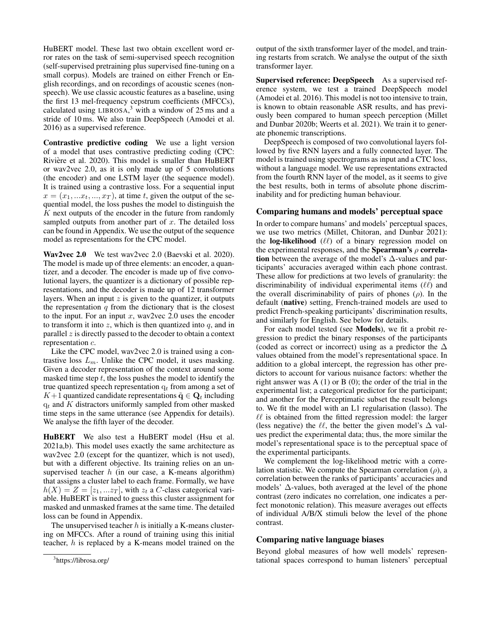HuBERT model. These last two obtain excellent word error rates on the task of semi-supervised speech recognition (self-supervised pretraining plus supervised fine-tuning on a small corpus). Models are trained on either French or English recordings, and on recordings of acoustic scenes (nonspeech). We use classic acoustic features as a baseline, using the first 13 mel-frequency cepstrum coefficients (MFCCs), calculated using LIBROSA, $3$  with a window of 25 ms and a stride of 10 ms. We also train DeepSpeech (Amodei et al. 2016) as a supervised reference.

Contrastive predictive coding We use a light version of a model that uses contrastive predicting coding (CPC: Rivière et al. 2020). This model is smaller than HuBERT or wav2vec 2.0, as it is only made up of 5 convolutions (the encoder) and one LSTM layer (the sequence model). It is trained using a contrastive loss. For a sequential input  $x = (x_1, \ldots, x_t, \ldots, x_T)$ , at time t, given the output of the sequential model, the loss pushes the model to distinguish the K next outputs of the encoder in the future from randomly sampled outputs from another part of  $x$ . The detailed loss can be found in Appendix. We use the output of the sequence model as representations for the CPC model.

Wav2vec 2.0 We test wav2vec 2.0 (Baevski et al. 2020). The model is made up of three elements: an encoder, a quantizer, and a decoder. The encoder is made up of five convolutional layers, the quantizer is a dictionary of possible representations, and the decoder is made up of 12 transformer layers. When an input  $z$  is given to the quantizer, it outputs the representation  $q$  from the dictionary that is the closest to the input. For an input  $x$ , wav2vec 2.0 uses the encoder to transform it into  $z$ , which is then quantized into  $q$ , and in parallel z is directly passed to the decoder to obtain a context representation c.

Like the CPC model, wav2vec 2.0 is trained using a contrastive loss  $L_m$ . Unlike the CPC model, it uses masking. Given a decoder representation of the context around some masked time step  $t$ , the loss pushes the model to identify the true quantized speech representation  $q_t$  from among a set of K+1 quantized candidate representations  $\tilde{\mathbf{q}} \in \mathbf{Q}_t$  including  $q_t$  and K distractors uniformly sampled from other masked time steps in the same utterance (see Appendix for details). We analyse the fifth layer of the decoder.

HuBERT We also test a HuBERT model (Hsu et al. 2021a,b). This model uses exactly the same architecture as wav2vec 2.0 (except for the quantizer, which is not used), but with a different objective. Its training relies on an unsupervised teacher  $h$  (in our case, a K-means algorithm) that assigns a cluster label to each frame. Formally, we have  $h(X) = Z = [z_1, ... z_T]$ , with  $z_t$  a C-class categorical variable. HuBERT is trained to guess this cluster assignment for masked and unmasked frames at the same time. The detailed loss can be found in Appendix.

The unsupervised teacher  $h$  is initially a K-means clustering on MFCCs. After a round of training using this initial teacher, h is replaced by a K-means model trained on the output of the sixth transformer layer of the model, and training restarts from scratch. We analyse the output of the sixth transformer layer.

Supervised reference: DeepSpeech As a supervised reference system, we test a trained DeepSpeech model (Amodei et al. 2016). This model is not too intensive to train, is known to obtain reasonable ASR results, and has previously been compared to human speech perception (Millet and Dunbar 2020b; Weerts et al. 2021). We train it to generate phonemic transcriptions.

DeepSpeech is composed of two convolutional layers followed by five RNN layers and a fully connected layer. The model is trained using spectrograms as input and a CTC loss, without a language model. We use representations extracted from the fourth RNN layer of the model, as it seems to give the best results, both in terms of absolute phone discriminability and for predicting human behaviour.

# Comparing humans and models' perceptual space

In order to compare humans' and models' perceptual spaces, we use two metrics (Millet, Chitoran, and Dunbar 2021): the **log-likelihood**  $(\ell\ell)$  of a binary regression model on the experimental responses, and the **Spearman's**  $\rho$  correlation between the average of the model's  $\Delta$ -values and participants' accuracies averaged within each phone contrast. These allow for predictions at two levels of granularity: the discriminability of individual experimental items  $(\ell\ell)$  and the overall discriminability of pairs of phones  $(\rho)$ . In the default (native) setting, French-trained models are used to predict French-speaking participants' discrimination results, and similarly for English. See below for details.

For each model tested (see Models), we fit a probit regression to predict the binary responses of the participants (coded as correct or incorrect) using as a predictor the  $\Delta$ values obtained from the model's representational space. In addition to a global intercept, the regression has other predictors to account for various nuisance factors: whether the right answer was  $A(1)$  or  $B(0)$ ; the order of the trial in the experimental list; a categorical predictor for the participant; and another for the Perceptimatic subset the result belongs to. We fit the model with an L1 regularisation (lasso). The  $\ell\ell$  is obtained from the fitted regression model: the larger (less negative) the  $\ell\ell$ , the better the given model's  $\Delta$  values predict the experimental data; thus, the more similar the model's representational space is to the perceptual space of the experimental participants.

We complement the log-likelihood metric with a correlation statistic. We compute the Spearman correlation  $(\rho)$ , a correlation between the ranks of participants' accuracies and models' ∆-values, both averaged at the level of the phone contrast (zero indicates no correlation, one indicates a perfect monotonic relation). This measure averages out effects of individual A/B/X stimuli below the level of the phone contrast.

# Comparing native language biases

Beyond global measures of how well models' representational spaces correspond to human listeners' perceptual

<sup>&</sup>lt;sup>3</sup>https://librosa.org/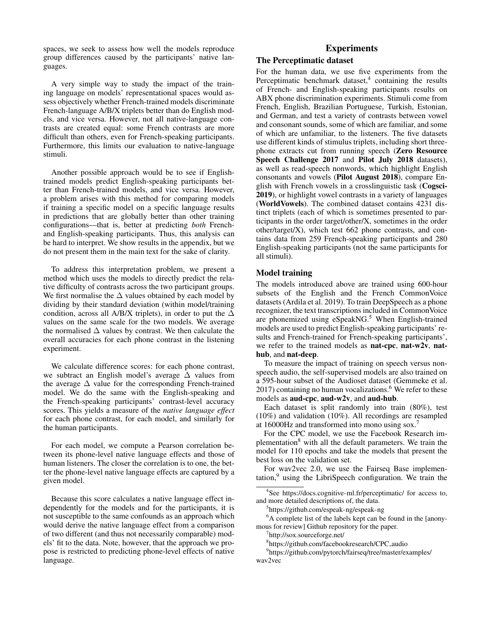spaces, we seek to assess how well the models reproduce group differences caused by the participants' native languages.

A very simple way to study the impact of the training language on models' representational spaces would assess objectively whether French-trained models discriminate French-language A/B/X triplets better than do English models, and vice versa. However, not all native-language contrasts are created equal: some French contrasts are more difficult than others, even for French-speaking participants. Furthermore, this limits our evaluation to native-language stimuli.

Another possible approach would be to see if Englishtrained models predict English-speaking participants better than French-trained models, and vice versa. However, a problem arises with this method for comparing models if training a specific model on a specific language results in predictions that are globally better than other training configurations—that is, better at predicting *both* Frenchand English-speaking participants. Thus, this analysis can be hard to interpret. We show results in the appendix, but we do not present them in the main text for the sake of clarity.

To address this interpretation problem, we present a method which uses the models to directly predict the relative difficulty of contrasts across the two participant groups. We first normalise the ∆ values obtained by each model by dividing by their standard deviation (within model/training condition, across all A/B/X triplets), in order to put the  $\Delta$ values on the same scale for the two models. We average the normalised  $\Delta$  values by contrast. We then calculate the overall accuracies for each phone contrast in the listening experiment.

We calculate difference scores: for each phone contrast, we subtract an English model's average ∆ values from the average ∆ value for the corresponding French-trained model. We do the same with the English-speaking and the French-speaking participants' contrast-level accuracy scores. This yields a measure of the *native language effect* for each phone contrast, for each model, and similarly for the human participants.

For each model, we compute a Pearson correlation between its phone-level native language effects and those of human listeners. The closer the correlation is to one, the better the phone-level native language effects are captured by a given model.

Because this score calculates a native language effect independently for the models and for the participants, it is not susceptible to the same confounds as an approach which would derive the native language effect from a comparison of two different (and thus not necessarily comparable) models' fit to the data. Note, however, that the approach we propose is restricted to predicting phone-level effects of native language.

# Experiments

# The Perceptimatic dataset

For the human data, we use five experiments from the Perceptimatic benchmark dataset,<sup>4</sup> containing the results of French- and English-speaking participants results on ABX phone discrimination experiments. Stimuli come from French, English, Brazilian Portuguese, Turkish, Estonian, and German, and test a variety of contrasts between vowel and consonant sounds, some of which are familiar, and some of which are unfamiliar, to the listeners. The five datasets use different kinds of stimulus triplets, including short threephone extracts cut from running speech (Zero Resource Speech Challenge 2017 and Pilot July 2018 datasets), as well as read-speech nonwords, which highlight English consonants and vowels (Pilot August 2018), compare English with French vowels in a crosslinguistic task (Cogsci-2019), or highlight vowel contrasts in a variety of languages (WorldVowels). The combined dataset contains 4231 distinct triplets (each of which is sometimes presented to participants in the order target/other/X, sometimes in the order other/target/X), which test 662 phone contrasts, and contains data from 259 French-speaking participants and 280 English-speaking participants (not the same participants for all stimuli).

# Model training

The models introduced above are trained using 600-hour subsets of the English and the French CommonVoice datasets (Ardila et al. 2019). To train DeepSpeech as a phone recognizer, the text transcriptions included in CommonVoice are phonemized using  $eS$  peak NG.<sup>5</sup> When English-trained models are used to predict English-speaking participants' results and French-trained for French-speaking participants', we refer to the trained models as **nat-cpc**, **nat-w2v**, **nat**hub, and nat-deep.

To measure the impact of training on speech versus nonspeech audio, the self-supervised models are also trained on a 595-hour subset of the Audioset dataset (Gemmeke et al.  $2017$ ) containing no human vocalizations.<sup>6</sup> We refer to these models as aud-cpc, aud-w2v, and aud-hub.

Each dataset is split randomly into train (80%), test (10%) and validation (10%). All recordings are resampled at 16000Hz and transformed into mono using sox.<sup>7</sup>

For the CPC model, we use the Facebook Research implementation<sup>8</sup> with all the default parameters. We train the model for 110 epochs and take the models that present the best loss on the validation set.

For wav2vec 2.0, we use the Fairseq Base implemen- $\tau$  tation,<sup>9</sup> using the LibriSpeech configuration. We train the

4 See https://docs.cognitive-ml.fr/perceptimatic/ for access to, and more detailed descriptions of, the data.

 ${}^{6}$ A complete list of the labels kept can be found in the [anonymous for review] Github repository for the paper.

7 http://sox.sourceforge.net/

9 https://github.com/pytorch/fairseq/tree/master/examples/ wav2vec

<sup>5</sup> https://github.com/espeak-ng/espeak-ng

<sup>8</sup> https://github.com/facebookresearch/CPC audio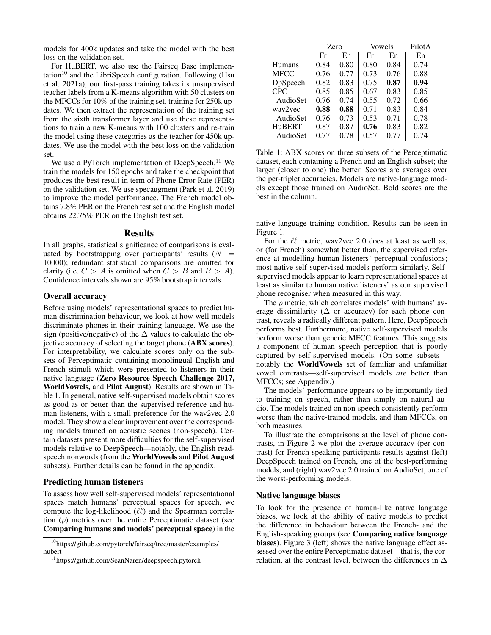models for 400k updates and take the model with the best loss on the validation set.

For HuBERT, we also use the Fairseq Base implementation<sup>10</sup> and the LibriSpeech configuration. Following (Hsu et al. 2021a), our first-pass training takes its unsupervised teacher labels from a K-means algorithm with 50 clusters on the MFCCs for 10% of the training set, training for 250k updates. We then extract the representation of the training set from the sixth transformer layer and use these representations to train a new K-means with 100 clusters and re-train the model using these categories as the teacher for 450k updates. We use the model with the best loss on the validation set.

We use a PyTorch implementation of DeepSpeech.<sup>11</sup> We train the models for 150 epochs and take the checkpoint that produces the best result in term of Phone Error Rate (PER) on the validation set. We use specaugment (Park et al. 2019) to improve the model performance. The French model obtains 7.8% PER on the French test set and the English model obtains 22.75% PER on the English test set.

# Results

In all graphs, statistical significance of comparisons is evaluated by bootstrapping over participants' results  $(N =$ 10000); redundant statistical comparisons are omitted for clarity (i.e.  $C > A$  is omitted when  $C > B$  and  $B > A$ ). Confidence intervals shown are 95% bootstrap intervals.

### Overall accuracy

Before using models' representational spaces to predict human discrimination behaviour, we look at how well models discriminate phones in their training language. We use the sign (positive/negative) of the  $\Delta$  values to calculate the objective accuracy of selecting the target phone (ABX scores). For interpretability, we calculate scores only on the subsets of Perceptimatic containing monolingual English and French stimuli which were presented to listeners in their native language (Zero Resource Speech Challenge 2017, WorldVowels, and Pilot August). Results are shown in Table 1. In general, native self-supervised models obtain scores as good as or better than the supervised reference and human listeners, with a small preference for the wav2vec 2.0 model. They show a clear improvement over the corresponding models trained on acoustic scenes (non-speech). Certain datasets present more difficulties for the self-supervised models relative to DeepSpeech—notably, the English readspeech nonwords (from the WorldVowels and Pilot August subsets). Further details can be found in the appendix.

# Predicting human listeners

To assess how well self-supervised models' representational spaces match humans' perceptual spaces for speech, we compute the log-likelihood  $(\ell\ell)$  and the Spearman correlation  $(\rho)$  metrics over the entire Perceptimatic dataset (see Comparing humans and models' perceptual space) in the

 $10$ https://github.com/pytorch/fairseq/tree/master/examples/ hubert

|             | Zero |      | Vowels |      | PilotA |
|-------------|------|------|--------|------|--------|
|             | Fr   | En   | Fr     | En   | En     |
| Humans      | 0.84 | 0.80 | 0.80   | 0.84 | 0.74   |
| <b>MFCC</b> | 0.76 | 0.77 | 0.73   | 0.76 | 0.88   |
| DpSpeech    | 0.82 | 0.83 | 0.75   | 0.87 | 0.94   |
| <b>CPC</b>  | 0.85 | 0.85 | 0.67   | 0.83 | 0.85   |
| AudioSet    | 0.76 | 0.74 | 0.55   | 0.72 | 0.66   |
| way2yec     | 0.88 | 0.88 | 0.71   | 0.83 | 0.84   |
| AudioSet    | 0.76 | 0.73 | 0.53   | 0.71 | 0.78   |
| HuBERT      | 0.87 | 0.87 | 0.76   | 0.83 | 0.82   |
| AudioSet    | 0.77 | 0.78 | 0.57   | 0.77 | 0.74   |

Table 1: ABX scores on three subsets of the Perceptimatic dataset, each containing a French and an English subset; the larger (closer to one) the better. Scores are averages over the per-triplet accuracies. Models are native-language models except those trained on AudioSet. Bold scores are the best in the column.

native-language training condition. Results can be seen in Figure 1.

For the  $\ell\ell$  metric, wav2vec 2.0 does at least as well as, or (for French) somewhat better than, the supervised reference at modelling human listeners' perceptual confusions; most native self-supervised models perform similarly. Selfsupervised models appear to learn representational spaces at least as similar to human native listeners' as our supervised phone recogniser when measured in this way.

The  $\rho$  metric, which correlates models' with humans' average dissimilarity ( $\Delta$  or accuracy) for each phone contrast, reveals a radically different pattern. Here, DeepSpeech performs best. Furthermore, native self-supervised models perform worse than generic MFCC features. This suggests a component of human speech perception that is poorly captured by self-supervised models. (On some subsets notably the WorldVowels set of familiar and unfamiliar vowel contrasts—self-supervised models *are* better than MFCCs; see Appendix.)

The models' performance appears to be importantly tied to training on speech, rather than simply on natural audio. The models trained on non-speech consistently perform worse than the native-trained models, and than MFCCs, on both measures.

To illustrate the comparisons at the level of phone contrasts, in Figure 2 we plot the average accuracy (per contrast) for French-speaking participants results against (left) DeepSpeech trained on French, one of the best-performing models, and (right) wav2vec 2.0 trained on AudioSet, one of the worst-performing models.

### Native language biases

To look for the presence of human-like native language biases, we look at the ability of native models to predict the difference in behaviour between the French- and the English-speaking groups (see Comparing native language biases). Figure 3 (left) shows the native language effect assessed over the entire Perceptimatic dataset—that is, the correlation, at the contrast level, between the differences in  $\Delta$ 

<sup>11</sup>https://github.com/SeanNaren/deepspeech.pytorch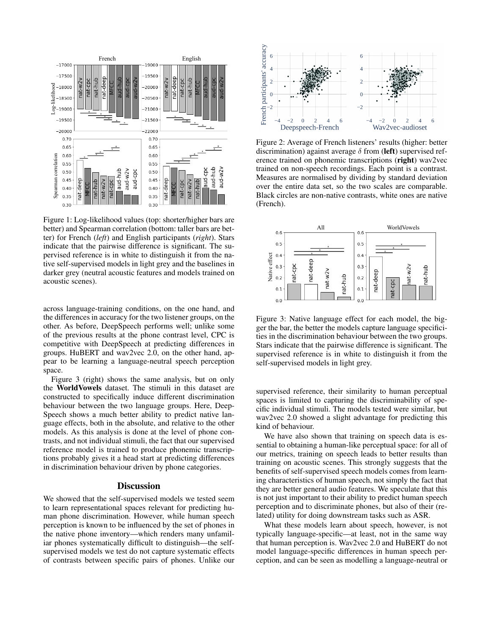

Figure 1: Log-likelihood values (top: shorter/higher bars are better) and Spearman correlation (bottom: taller bars are better) for French (*left*) and English participants (*right*). Stars indicate that the pairwise difference is significant. The supervised reference is in white to distinguish it from the native self-supervised models in light grey and the baselines in darker grey (neutral acoustic features and models trained on acoustic scenes).

across language-training conditions, on the one hand, and the differences in accuracy for the two listener groups, on the other. As before, DeepSpeech performs well; unlike some of the previous results at the phone contrast level, CPC is competitive with DeepSpeech at predicting differences in groups. HuBERT and wav2vec 2.0, on the other hand, appear to be learning a language-neutral speech perception space.

Figure 3 (right) shows the same analysis, but on only the WorldVowels dataset. The stimuli in this dataset are constructed to specifically induce different discrimination behaviour between the two language groups. Here, Deep-Speech shows a much better ability to predict native language effects, both in the absolute, and relative to the other models. As this analysis is done at the level of phone contrasts, and not individual stimuli, the fact that our supervised reference model is trained to produce phonemic transcriptions probably gives it a head start at predicting differences in discrimination behaviour driven by phone categories.

### **Discussion**

We showed that the self-supervised models we tested seem to learn representational spaces relevant for predicting human phone discrimination. However, while human speech perception is known to be influenced by the set of phones in the native phone inventory—which renders many unfamiliar phones systematically difficult to distinguish—the selfsupervised models we test do not capture systematic effects of contrasts between specific pairs of phones. Unlike our



Figure 2: Average of French listeners' results (higher: better discrimination) against average  $\delta$  from (left) supervised reference trained on phonemic transcriptions (right) wav2vec trained on non-speech recordings. Each point is a contrast. Measures are normalised by dividing by standard deviation over the entire data set, so the two scales are comparable. Black circles are non-native contrasts, white ones are native (French).



Figure 3: Native language effect for each model, the bigger the bar, the better the models capture language specificities in the discrimination behaviour between the two groups. Stars indicate that the pairwise difference is significant. The supervised reference is in white to distinguish it from the self-supervised models in light grey.

supervised reference, their similarity to human perceptual spaces is limited to capturing the discriminability of specific individual stimuli. The models tested were similar, but wav2vec 2.0 showed a slight advantage for predicting this kind of behaviour.

We have also shown that training on speech data is essential to obtaining a human-like perceptual space: for all of our metrics, training on speech leads to better results than training on acoustic scenes. This strongly suggests that the benefits of self-supervised speech models comes from learning characteristics of human speech, not simply the fact that they are better general audio features. We speculate that this is not just important to their ability to predict human speech perception and to discriminate phones, but also of their (related) utility for doing downstream tasks such as ASR.

What these models learn about speech, however, is not typically language-specific—at least, not in the same way that human perception is. Wav2vec 2.0 and HuBERT do not model language-specific differences in human speech perception, and can be seen as modelling a language-neutral or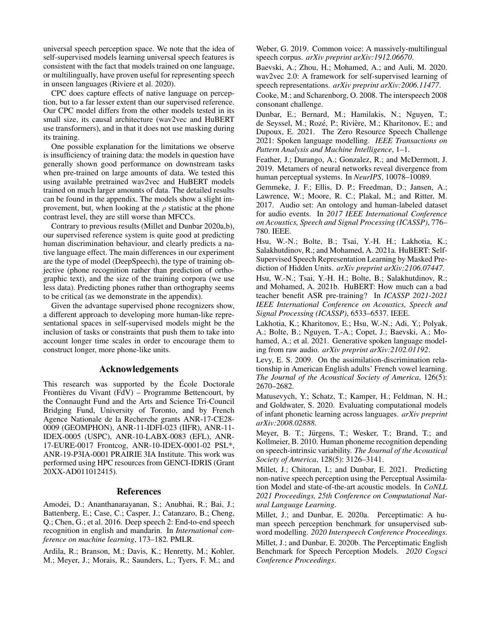universal speech perception space. We note that the idea of self-supervised models learning universal speech features is consistent with the fact that models trained on one language, or multilingually, have proven useful for representing speech in unseen languages (Riviere et al. 2020).

CPC does capture effects of native language on perception, but to a far lesser extent than our supervised reference. Our CPC model differs from the other models tested in its small size, its causal architecture (wav2vec and HuBERT use transformers), and in that it does not use masking during its training.

One possible explanation for the limitations we observe is insufficiency of training data: the models in question have generally shown good performance on downstream tasks when pre-trained on large amounts of data. We tested this using available pretrained wav2vec and HuBERT models trained on much larger amounts of data. The detailed results can be found in the appendix. The models show a slight improvement, but, when looking at the  $\rho$  statistic at the phone contrast level, they are still worse than MFCCs.

Contrary to previous results (Millet and Dunbar 2020a,b), our supervised reference system is quite good at predicting human discrimination behaviour, and clearly predicts a native language effect. The main differences in our experiment are the type of model (DeepSpeech), the type of training objective (phone recognition rather than prediction of orthographic text), and the size of the training corpora (we use less data). Predicting phones rather than orthography seems to be critical (as we demonstrate in the appendix).

Given the advantage supervised phone recognizers show, a different approach to developing more human-like representational spaces in self-supervised models might be the inclusion of tasks or constraints that push them to take into account longer time scales in order to encourage them to construct longer, more phone-like units.

# Acknowledgements

This research was supported by the École Doctorale Frontières du Vivant (FdV) – Programme Bettencourt, by the Connaught Fund and the Arts and Science Tri-Council Bridging Fund, University of Toronto, and by French Agence Nationale de la Recherche grants ANR-17-CE28- 0009 (GEOMPHON), ANR-11-IDFI-023 (IIFR), ANR-11- IDEX-0005 (USPC), ANR-10-LABX-0083 (EFL), ANR-17-EURE-0017 Frontcog, ANR-10-IDEX-0001-02 PSL\*, ANR-19-P3IA-0001 PRAIRIE 3IA Institute. This work was performed using HPC resources from GENCI-IDRIS (Grant 20XX-AD011012415).

### References

Amodei, D.; Ananthanarayanan, S.; Anubhai, R.; Bai, J.; Battenberg, E.; Case, C.; Casper, J.; Catanzaro, B.; Cheng, Q.; Chen, G.; et al. 2016. Deep speech 2: End-to-end speech recognition in english and mandarin. In *International conference on machine learning*, 173–182. PMLR.

Ardila, R.; Branson, M.; Davis, K.; Henretty, M.; Kohler, M.; Meyer, J.; Morais, R.; Saunders, L.; Tyers, F. M.; and

Weber, G. 2019. Common voice: A massively-multilingual speech corpus. *arXiv preprint arXiv:1912.06670*.

Baevski, A.; Zhou, H.; Mohamed, A.; and Auli, M. 2020. wav2vec 2.0: A framework for self-supervised learning of speech representations. *arXiv preprint arXiv:2006.11477*.

Cooke, M.; and Scharenborg, O. 2008. The interspeech 2008 consonant challenge.

Dunbar, E.; Bernard, M.; Hamilakis, N.; Nguyen, T.; de Seyssel, M.; Rozé, P.; Rivière, M.; Kharitonov, E.; and Dupoux, E. 2021. The Zero Resource Speech Challenge 2021: Spoken language modelling. *IEEE Transactions on Pattern Analysis and Machine Intelligence*, 1–1.

Feather, J.; Durango, A.; Gonzalez, R.; and McDermott, J. 2019. Metamers of neural networks reveal divergence from human perceptual systems. In *NeurIPS*, 10078–10089.

Gemmeke, J. F.; Ellis, D. P.; Freedman, D.; Jansen, A.; Lawrence, W.; Moore, R. C.; Plakal, M.; and Ritter, M. 2017. Audio set: An ontology and human-labeled dataset for audio events. In *2017 IEEE International Conference on Acoustics, Speech and Signal Processing (ICASSP)*, 776– 780. IEEE.

Hsu, W.-N.; Bolte, B.; Tsai, Y.-H. H.; Lakhotia, K.; Salakhutdinov, R.; and Mohamed, A. 2021a. HuBERT: Self-Supervised Speech Representation Learning by Masked Prediction of Hidden Units. *arXiv preprint arXiv:2106.07447*.

Hsu, W.-N.; Tsai, Y.-H. H.; Bolte, B.; Salakhutdinov, R.; and Mohamed, A. 2021b. HuBERT: How much can a bad teacher benefit ASR pre-training? In *ICASSP 2021-2021 IEEE International Conference on Acoustics, Speech and Signal Processing (ICASSP)*, 6533–6537. IEEE.

Lakhotia, K.; Kharitonov, E.; Hsu, W.-N.; Adi, Y.; Polyak, A.; Bolte, B.; Nguyen, T.-A.; Copet, J.; Baevski, A.; Mohamed, A.; et al. 2021. Generative spoken language modeling from raw audio. *arXiv preprint arXiv:2102.01192*.

Levy, E. S. 2009. On the assimilation-discrimination relationship in American English adults' French vowel learning. *The Journal of the Acoustical Society of America*, 126(5): 2670–2682.

Matusevych, Y.; Schatz, T.; Kamper, H.; Feldman, N. H.; and Goldwater, S. 2020. Evaluating computational models of infant phonetic learning across languages. *arXiv preprint arXiv:2008.02888*.

Meyer, B. T.; Jürgens, T.; Wesker, T.; Brand, T.; and Kollmeier, B. 2010. Human phoneme recognition depending on speech-intrinsic variability. *The Journal of the Acoustical Society of America*, 128(5): 3126–3141.

Millet, J.; Chitoran, I.; and Dunbar, E. 2021. Predicting non-native speech perception using the Perceptual Assimilation Model and state-of-the-art acoustic models. In *CoNLL 2021 Proceedings, 25th Conference on Computational Natural Language Learning*.

Millet, J.; and Dunbar, E. 2020a. Perceptimatic: A human speech perception benchmark for unsupervised subword modelling. *2020 Interspeech Conference Proceedings*. Millet, J.; and Dunbar, E. 2020b. The Perceptimatic English Benchmark for Speech Perception Models. *2020 Cogsci Conference Proceedings*.